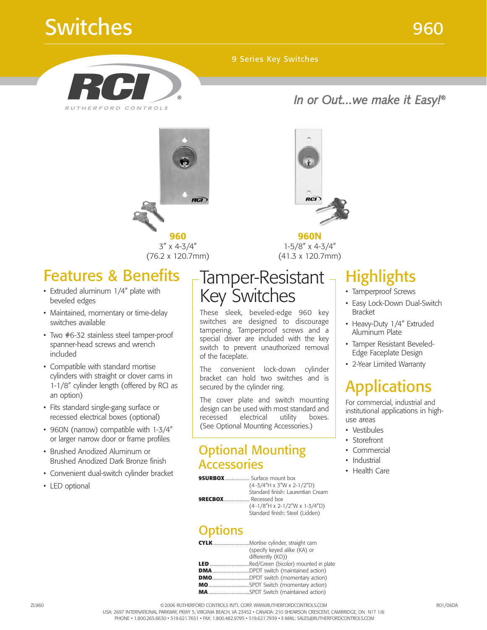# Switches 960

#### 9 Series Key Switches





## Features & Benefits

- Extruded aluminum 1/4" plate with beveled edges
- Maintained, momentary or time-delay switches available
- Two #6-32 stainless steel tamper-proof spanner-head screws and wrench included
- Compatible with standard mortise cylinders with straight or clover cams in 1-1/8" cylinder length (offered by RCI as an option)
- Fits standard single-gang surface or recessed electrical boxes (optional)
- 960N (narrow) compatible with 1-3/4" or larger narrow door or frame profiles
- Brushed Anodized Aluminum or Brushed Anodized Dark Bronze finish
- Convenient dual-switch cylinder bracket
- LED optional



**960N** 1-5/8" x 4-3/4" (41.3 x 120.7mm)

## Tamper-Resistant Key Switches

These sleek, beveled-edge 960 key switches are designed to discourage tampering. Tamperproof screws and a special driver are included with the key switch to prevent unauthorized removal of the faceplate.

The convenient lock-down cylinder bracket can hold two switches and is secured by the cylinder ring.

The cover plate and switch mounting design can be used with most standard and recessed electrical utility boxes. (See Optional Mounting Accessories.)

#### Optional Mounting **Accessories**

|                         | <b>9SURBOX</b> Surface mount box      |  |  |  |
|-------------------------|---------------------------------------|--|--|--|
|                         | $(4-3/4"H \times 3"W \times 2-1/2"D)$ |  |  |  |
|                         | Standard finish: Laurentian Cream     |  |  |  |
| Recessed box<br>9RECBOX |                                       |  |  |  |
|                         | $(4-1/8"$ H x 2-1/2"W x 1-3/4"D)      |  |  |  |
|                         | Standard finish: Steel (Lidden)       |  |  |  |
|                         |                                       |  |  |  |

### **Options**

| <b>CYLK</b> | Mortise cylinder, straight cam             |  |  |  |  |
|-------------|--------------------------------------------|--|--|--|--|
|             | (specify keyed alike (KA) or               |  |  |  |  |
|             | differently (KD))                          |  |  |  |  |
|             |                                            |  |  |  |  |
|             | <b>DMA</b> DPDT switch (maintained action) |  |  |  |  |
|             | <b>DMO</b> DPDT switch (momentary action)  |  |  |  |  |
|             |                                            |  |  |  |  |
|             |                                            |  |  |  |  |

## **Highlights**

*In or Out…we make it Easy! ®*

- Tamperproof Screws
- Easy Lock-Down Dual-Switch Bracket
- Heavy-Duty 1/4" Extruded Aluminum Plate
- Tamper Resistant Beveled-Edge Faceplate Design
- 2-Year Limited Warranty

## Applications

For commercial, industrial and institutional applications in highuse areas

- Vestibules
- Storefront
- Commercial
- Industrial
- Health Care